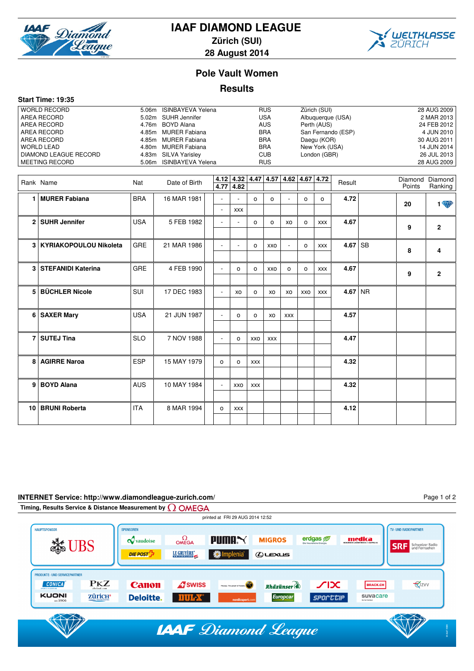

# **IAAF DIAMOND LEAGUE**

**Zürich (SUI)**



Page 1 of 2

**28 August 2014**

### **Pole Vault Women**

#### **Results**

|  | <b>Start Time: 19:35</b> |  |
|--|--------------------------|--|
|--|--------------------------|--|

| <b>WORLD RECORD</b>   | 5.06m ISINBAYEVA Yelena | <b>RUS</b> | Zürich (SUI)       | 28 AUG 2009 |
|-----------------------|-------------------------|------------|--------------------|-------------|
| AREA RECORD           | 5.02m SUHR Jennifer     | <b>USA</b> | Albuquerque (USA)  | 2 MAR 2013  |
| AREA RECORD           | 4.76m BOYD Alana        | <b>AUS</b> | Perth (AUS)        | 24 FEB 2012 |
| AREA RECORD           | 4.85m MURER Fabiana     | <b>BRA</b> | San Fernando (ESP) | 4 JUN 2010  |
| AREA RECORD           | 4.85m MURER Fabiana     | <b>BRA</b> | Daegu (KOR)        | 30 AUG 2011 |
| WORLD LEAD            | 4.80m MURER Fabiana     | <b>BRA</b> | New York (USA)     | 14 JUN 2014 |
| DIAMOND LEAGUE RECORD | 4.83m SILVA Yarisley    | <b>CUB</b> | London (GBR)       | 26 JUL 2013 |
| MEETING RECORD        | 5.06m ISINBAYEVA Yelena | <b>RUS</b> |                    | 28 AUG 2009 |
|                       |                         |            |                    |             |

|   | Rank Name                  | Nat        | Date of Birth | 4.77                     | 4.82                     |            |            |                |         | $4.12$   $4.32$   $4.47$   $4.57$   $4.62$   $4.67$   $4.72$ | Result    | Points | Diamond Diamond<br>Ranking |
|---|----------------------------|------------|---------------|--------------------------|--------------------------|------------|------------|----------------|---------|--------------------------------------------------------------|-----------|--------|----------------------------|
|   | 1   MURER Fabiana          | <b>BRA</b> | 16 MAR 1981   |                          |                          | $\Omega$   | $\circ$    | $\blacksquare$ | o       | o                                                            | 4.72      | 20     | <b>1 W</b>                 |
|   |                            |            |               |                          | <b>XXX</b>               |            |            |                |         |                                                              |           |        |                            |
|   | 2 SUHR Jennifer            | <b>USA</b> | 5 FEB 1982    |                          |                          | $\circ$    | $\circ$    | XO             | $\circ$ | <b>XXX</b>                                                   | 4.67      | 9      | $\overline{2}$             |
|   |                            |            |               |                          |                          |            |            |                |         |                                                              |           |        |                            |
|   | 3   KYRIAKOPOULOU Nikoleta | <b>GRE</b> | 21 MAR 1986   | $\sim$                   | $\overline{\phantom{a}}$ | $\circ$    | XXO        | $\blacksquare$ | $\circ$ | <b>XXX</b>                                                   | $4.67$ SB | 8      | 4                          |
|   |                            |            |               |                          |                          |            |            |                |         |                                                              |           |        |                            |
|   | 3 STEFANIDI Katerina       | <b>GRE</b> | 4 FEB 1990    | $\overline{\phantom{a}}$ | 0                        | $\circ$    | <b>XXO</b> | $\circ$        | $\circ$ | <b>XXX</b>                                                   | 4.67      | 9      | $\overline{2}$             |
|   |                            |            |               |                          |                          |            |            |                |         |                                                              |           |        |                            |
| 5 | <b>BÜCHLER Nicole</b>      | <b>SUI</b> | 17 DEC 1983   |                          | XO                       | $\circ$    | XO         | XO             | XXO     | <b>XXX</b>                                                   | $4.67$ NR |        |                            |
|   |                            |            |               |                          |                          |            |            |                |         |                                                              |           |        |                            |
|   | 6 SAXER Mary               | <b>USA</b> | 21 JUN 1987   |                          | $\Omega$                 | $\circ$    | XO         | <b>XXX</b>     |         |                                                              | 4.57      |        |                            |
|   |                            |            |               |                          |                          |            |            |                |         |                                                              |           |        |                            |
|   | 7 SUTEJ Tina               | <b>SLO</b> | 7 NOV 1988    | $\sim$                   | $\Omega$                 | XXO        | <b>XXX</b> |                |         |                                                              | 4.47      |        |                            |
|   |                            |            |               |                          |                          |            |            |                |         |                                                              |           |        |                            |
| 8 | <b>AGIRRE Naroa</b>        | <b>ESP</b> | 15 MAY 1979   | $\circ$                  | 0                        | <b>XXX</b> |            |                |         |                                                              | 4.32      |        |                            |
|   |                            |            |               |                          |                          |            |            |                |         |                                                              |           |        |                            |
| 9 | <b>BOYD Alana</b>          | <b>AUS</b> | 10 MAY 1984   |                          | XXO                      | XXX        |            |                |         |                                                              | 4.32      |        |                            |
|   |                            |            |               |                          |                          |            |            |                |         |                                                              |           |        |                            |
|   | 10 BRUNI Roberta           | <b>ITA</b> | 8 MAR 1994    | $\circ$                  | <b>XXX</b>               |            |            |                |         |                                                              | 4.12      |        |                            |
|   |                            |            |               |                          |                          |            |            |                |         |                                                              |           |        |                            |

#### **INTERNET Service: http://www.diamondleague-zurich.com/**

**Timing, Results Service & Distance Measurement by Q OMEGA** printed at FRI 29 AUG 2014 12:52 TV- UND RADIOPARTNER **HAUPTSPONSOF** ONSOREN  $\mathcal Q$  vaudoise  $\Omega_{\text{MEGA}}$  $P$ uma $\propto$ **MIGROS** erdgas @ medica **Solution SRF** Schweizer Radio LE GRUYÈRE\* implenia<sup>\*</sup> DIE POST<sup>T</sup>  $Q$ **LEXUS PRODUKTE- UND SERVICEPARTNER CONICA PKZ Canon A**swiss  $\chi$ **V**zvv Rhäzünser BRACK.CH KUONI **ZÜTICH**<sup>•</sup> **SPOCCOP** suvacare **Deloitte. DUL-X** Europcar **IAAF** Diamond League